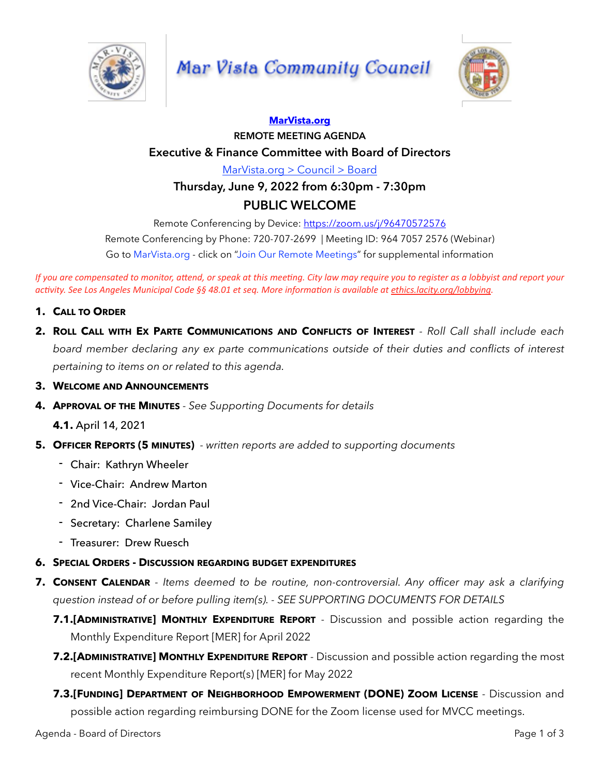

# **Mar Vista Community Council**



### **[MarVista.org](http://MarVista.org)**

### **REMOTE MEETING AGENDA Executive & Finance Committee with Board of Directors**

[MarVista.org > Council > Board](https://www.marvista.org/committees/viewCommittee/board-of-directors)

## **Thursday, June 9, 2022 from 6:30pm - 7:30pm PUBLIC WELCOME**

Remote Conferencing by Device:<https://zoom.us/j/96470572576>

Remote Conferencing by Phone: 720-707-2699 | Meeting ID: 964 7057 2576 (Webinar) Go to MarVista.org - click on "Join Our Remote Meetings" for supplemental information

*If* you are compensated to monitor, attend, or speak at this meeting. City law may require you to register as a lobbyist and report your *ac6vity. See Los Angeles Municipal Code §§ 48.01 et seq. More informa6on is available at [ethics.lacity.org/lobbying](http://ethics.lacity.org/lobbying).*

- **1. CALL TO ORDER**
- **2. ROLL CALL WITH EX PARTE COMMUNICATIONS AND CONFLICTS OF INTEREST**  *Roll Call shall include each board member declaring any ex parte communications outside of their duties and conflicts of interest pertaining to items on or related to this agenda.*
- **3. WELCOME AND ANNOUNCEMENTS**
- **4. APPROVAL OF THE MINUTES**  *See Supporting Documents for details*

**4.1.** April 14, 2021

- **5. OFFICER REPORTS (5 MINUTES)**  *written reports are added to supporting documents*
	- Chair: Kathryn Wheeler
	- Vice-Chair: Andrew Marton
	- 2nd Vice-Chair: Jordan Paul
	- Secretary: Charlene Samiley
	- Treasurer: Drew Ruesch
- **6. SPECIAL ORDERS DISCUSSION REGARDING BUDGET EXPENDITURES**
- **7. CONSENT CALENDAR**  *Items deemed to be routine, non-controversial. Any officer may ask a clarifying question instead of or before pulling item(s). - SEE SUPPORTING DOCUMENTS FOR DETAILS* 
	- **7.1.[ADMINISTRATIVE] MONTHLY EXPENDITURE REPORT** Discussion and possible action regarding the Monthly Expenditure Report [MER] for April 2022
	- **7.2.[ADMINISTRATIVE] MONTHLY EXPENDITURE REPORT** Discussion and possible action regarding the most recent Monthly Expenditure Report(s) [MER] for May 2022
	- **7.3.[FUNDING] DEPARTMENT OF NEIGHBORHOOD EMPOWERMENT (DONE) ZOOM LICENSE** Discussion and possible action regarding reimbursing DONE for the Zoom license used for MVCC meetings.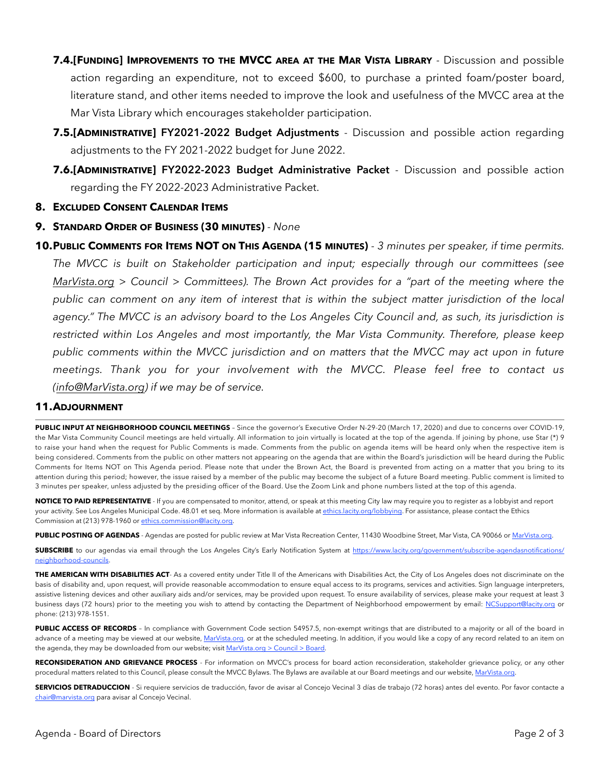- **7.4.[FUNDING] IMPROVEMENTS TO THE MVCC AREA AT THE MAR VISTA LIBRARY** Discussion and possible action regarding an expenditure, not to exceed \$600, to purchase a printed foam/poster board, literature stand, and other items needed to improve the look and usefulness of the MVCC area at the Mar Vista Library which encourages stakeholder participation.
- **7.5.[ADMINISTRATIVE] FY2021-2022 Budget Adjustments** Discussion and possible action regarding adjustments to the FY 2021-2022 budget for June 2022.
- **7.6.[ADMINISTRATIVE] FY2022-2023 Budget Administrative Packet** Discussion and possible action regarding the FY 2022-2023 Administrative Packet.

### **8. EXCLUDED CONSENT CALENDAR ITEMS**

**9. STANDARD ORDER OF BUSINESS (30 MINUTES)** *- None*

**10.PUBLIC COMMENTS FOR ITEMS NOT ON THIS AGENDA (15 MINUTES)** *- 3 minutes per speaker, if time permits. The MVCC is built on Stakeholder participation and input; especially through our committees (see [MarVista.org](http://MarVista.org) > Council > Committees). The Brown Act provides for a "part of the meeting where the public can comment on any item of interest that is within the subject matter jurisdiction of the local*  agency." The MVCC is an advisory board to the Los Angeles City Council and, as such, its jurisdiction is *restricted within Los Angeles and most importantly, the Mar Vista Community. Therefore, please keep public comments within the MVCC jurisdiction and on matters that the MVCC may act upon in future meetings. Thank you for your involvement with the MVCC. Please feel free to contact us [\(info@MarVista.org\)](mailto:info@MarVista.org) if we may be of service.*

#### **11.ADJOURNMENT**

**PUBLIC INPUT AT NEIGHBORHOOD COUNCIL MEETINGS** – Since the governor's Executive Order N-29-20 (March 17, 2020) and due to concerns over COVID-19, the Mar Vista Community Council meetings are held virtually. All information to join virtually is located at the top of the agenda. If joining by phone, use Star (\*) 9 to raise your hand when the request for Public Comments is made. Comments from the public on agenda items will be heard only when the respective item is being considered. Comments from the public on other matters not appearing on the agenda that are within the Board's jurisdiction will be heard during the Public Comments for Items NOT on This Agenda period. Please note that under the Brown Act, the Board is prevented from acting on a matter that you bring to its attention during this period; however, the issue raised by a member of the public may become the subject of a future Board meeting. Public comment is limited to 3 minutes per speaker, unless adjusted by the presiding officer of the Board. Use the Zoom Link and phone numbers listed at the top of this agenda.

**NOTICE TO PAID REPRESENTATIVE** - If you are compensated to monitor, attend, or speak at this meeting City law may require you to register as a lobbyist and report your activity. See Los Angeles Municipal Code. 48.01 et seq. More information is available at [ethics.lacity.org/lobbying](http://ethics.lacity.org/lobbying). For assistance, please contact the Ethics Commission at (213) 978-1960 or [ethics.commission@lacity.org](mailto:ethics.commission@lacity.org).

**PUBLIC POSTING OF AGENDAS** - Agendas are posted for public review at Mar Vista Recreation Center, 11430 Woodbine Street, Mar Vista, CA 90066 or [MarVista.org](http://MarVista.org).

**SUBSCRIBE** to our agendas via email through the Los Angeles City's Early Notification System at [https://www.lacity.org/government/subscribe-agendasnotifications/](https://www.lacity.org/government/subscribe-agendasnotifications/neighborhood-councils) [neighborhood-councils.](https://www.lacity.org/government/subscribe-agendasnotifications/neighborhood-councils)

**THE AMERICAN WITH DISABILITIES ACT**- As a covered entity under Title II of the Americans with Disabilities Act, the City of Los Angeles does not discriminate on the basis of disability and, upon request, will provide reasonable accommodation to ensure equal access to its programs, services and activities. Sign language interpreters, assistive listening devices and other auxiliary aids and/or services, may be provided upon request. To ensure availability of services, please make your request at least 3 business days (72 hours) prior to the meeting you wish to attend by contacting the Department of Neighborhood empowerment by email: [NCSupport@lacity.org](mailto:NCSupport@lacity.org) or phone: (213) 978-1551.

PUBLIC ACCESS OF RECORDS - In compliance with Government Code section 54957.5, non-exempt writings that are distributed to a majority or all of the board in advance of a meeting may be viewed at our website, [MarVista.org](http://MarVista.org), or at the scheduled meeting. In addition, if you would like a copy of any record related to an item on the agenda, they may be downloaded from our website; visit [MarVista.org > Council > Board](http://MarVista.org).

**RECONSIDERATION AND GRIEVANCE PROCESS** - For information on MVCC's process for board action reconsideration, stakeholder grievance policy, or any other procedural matters related to this Council, please consult the MVCC Bylaws. The Bylaws are available at our Board meetings and our website, [MarVista.org](http://MarVista.org).

**SERVICIOS DETRADUCCION** - Si requiere servicios de traducción, favor de avisar al Concejo Vecinal 3 días de trabajo (72 horas) antes del evento. Por favor contacte a [chair@marvista.org](mailto:chair@marvista.org) para avisar al Concejo Vecinal.